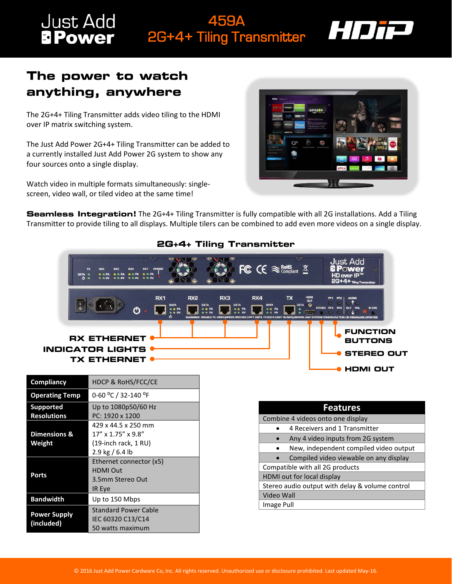## Just Add<br>**BPower** 459A 2G+4+ Tiling Transmitter



## **The power to watch anything, anywhere**

The 2G+4+ Tiling Transmitter adds video tiling to the HDMI over IP matrix switching system.

The Just Add Power 2G+4+ Tiling Transmitter can be added to a currently installed Just Add Power 2G system to show any four sources onto a single display.

Watch video in multiple formats simultaneously: singlescreen, video wall, or tiled video at the same time!



**Seamless Integration!** The 2G+4+ Tiling Transmitter is fully compatible with all 2G installations. Add a Tiling Transmitter to provide tiling to all displays. Multiple tilers can be combined to add even more videos on a single display.



## **2G+4+ Tiling Transmitter**